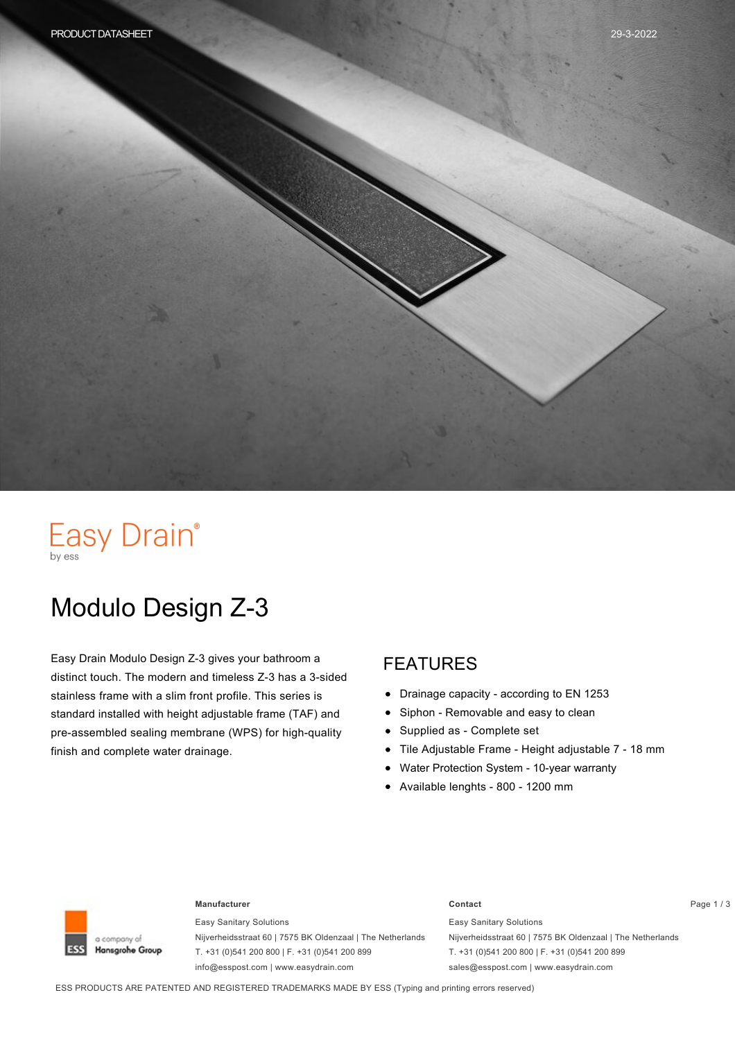# Easy Drain®

# Modulo Design Z-3

Easy Drain Modulo Design Z-3 gives your bathroom a distinct touch. The modern and timeless Z-3 has a 3-sided stainless frame with a slim front profile. This series is standard installed with height adjustable frame (TAF) and pre-assembled sealing membrane (WPS) for high-quality finish and complete water drainage.

#### FEATURES

- $\bullet$ Drainage capacity - according to EN 1253
- Siphon Removable and easy to clean  $\bullet$
- Supplied as Complete set  $\bullet$
- Tile Adjustable Frame Height adjustable 7 18 mm
- Water Protection System 10-year warranty
- Available lenghts 800 1200 mm



#### **Manufacturer Contact** Page 1 / 3

Easy Sanitary Solutions Nijverheidsstraat 60 | 7575 BK Oldenzaal | The Netherlands T. +31 (0)541 200 800 | F. +31 (0)541 200 899 info@esspost.com | www.easydrain.com

Easy Sanitary Solutions Nijverheidsstraat 60 | 7575 BK Oldenzaal | The Netherlands T. +31 (0)541 200 800 | F. +31 (0)541 200 899 sales@esspost.com | www.easydrain.com

ESS PRODUCTS ARE PATENTED AND REGISTERED TRADEMARKS MADE BY ESS (Typing and printing errors reserved)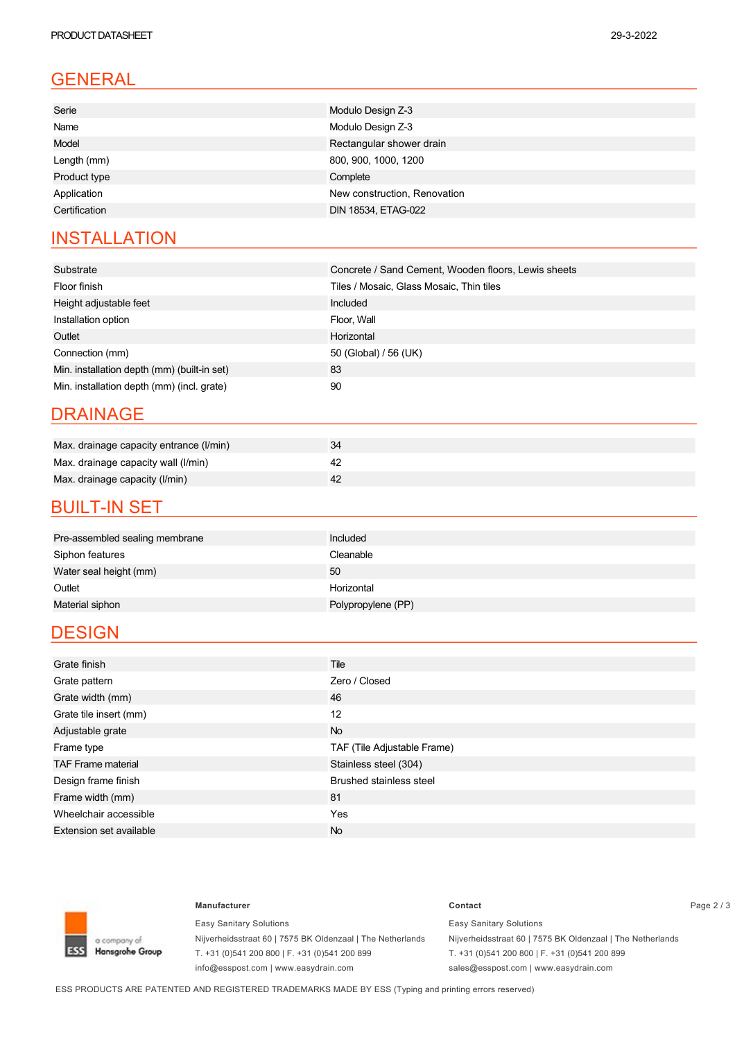## GENERAL

### **INSTALLATION**

| Substrate                                   | Concrete / Sand Cement, Wooden floors, Lewis sheets |
|---------------------------------------------|-----------------------------------------------------|
| Floor finish                                | Tiles / Mosaic, Glass Mosaic, Thin tiles            |
| Height adjustable feet                      | Included                                            |
| Installation option                         | Floor, Wall                                         |
| Outlet                                      | Horizontal                                          |
| Connection (mm)                             | 50 (Global) / 56 (UK)                               |
| Min. installation depth (mm) (built-in set) | 83                                                  |
| Min. installation depth (mm) (incl. grate)  | 90                                                  |

#### DRAINAGE

| Max. drainage capacity entrance (I/min) |  |
|-----------------------------------------|--|
| Max. drainage capacity wall (I/min)     |  |
| Max. drainage capacity (I/min)          |  |

#### **BUILT-IN SET**

| Pre-assembled sealing membrane | Included           |
|--------------------------------|--------------------|
| Siphon features                | Cleanable          |
| Water seal height (mm)         | 50                 |
| Outlet                         | Horizontal         |
| Material siphon                | Polypropylene (PP) |

### **DESIGN**

| Grate finish                   | Tile                           |
|--------------------------------|--------------------------------|
| Grate pattern                  | Zero / Closed                  |
| Grate width (mm)               | 46                             |
| Grate tile insert (mm)         | 12                             |
| Adjustable grate               | <b>No</b>                      |
| Frame type                     | TAF (Tile Adjustable Frame)    |
| <b>TAF Frame material</b>      | Stainless steel (304)          |
| Design frame finish            | <b>Brushed stainless steel</b> |
| Frame width (mm)               | 81                             |
| Wheelchair accessible          | Yes                            |
| <b>Extension set available</b> | <b>No</b>                      |



Easy Sanitary Solutions Nijverheidsstraat 60 | 7575 BK Oldenzaal | The Netherlands T. +31 (0)541 200 800 | F. +31 (0)541 200 899 info@esspost.com | www.easydrain.com

#### **Manufacturer Contact** Page 2 / 3 Easy Sanitary Solutions Nijverheidsstraat 60 | 7575 BK Oldenzaal | The Netherlands

T. +31 (0)541 200 800 | F. +31 (0)541 200 899 sales@esspost.com | www.easydrain.com

ESS PRODUCTS ARE PATENTED AND REGISTERED TRADEMARKS MADE BY ESS (Typing and printing errors reserved)